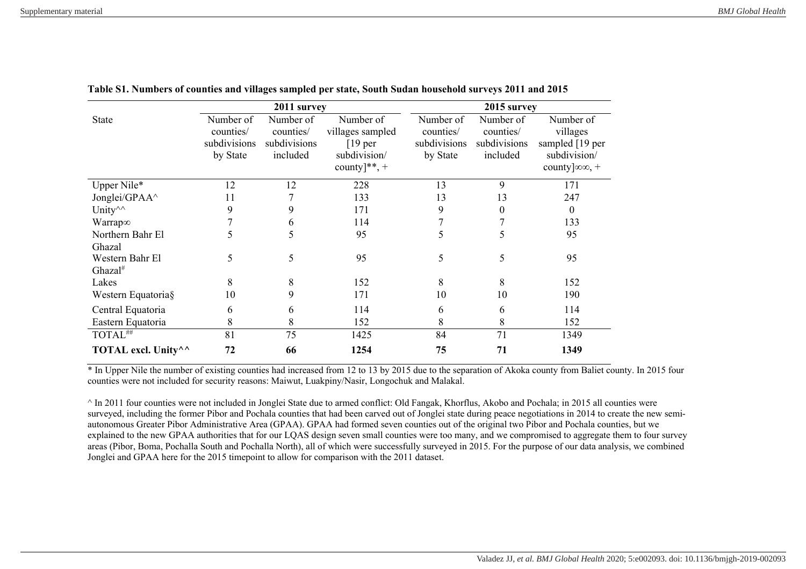|                                                        | 2011 survey  |              |                  | 2015 survey  |              |                            |
|--------------------------------------------------------|--------------|--------------|------------------|--------------|--------------|----------------------------|
| <b>State</b>                                           | Number of    | Number of    | Number of        | Number of    | Number of    | Number of                  |
|                                                        | counties/    | counties/    | villages sampled | counties/    | counties/    | villages                   |
|                                                        | subdivisions | subdivisions | $[19$ per        | subdivisions | subdivisions | sampled [19 per            |
|                                                        | by State     | included     | subdivision/     | by State     | included     | subdivision/               |
|                                                        |              |              | county]**, +     |              |              | county $ \infty\infty$ , + |
| Upper Nile*                                            | 12           | 12           | 228              | 13           | 9            | 171                        |
| Jonglei/GPAA^                                          | 11           |              | 133              | 13           | 13           | 247                        |
| Unity <sup><math>\wedge</math></sup>                   | 9            | 9            | 171              | 9            | 0            | $\theta$                   |
| Warrap∞                                                |              | 6            | 114              |              |              | 133                        |
| Northern Bahr El                                       | 5            |              | 95               | 5            | C.           | 95                         |
| Ghazal                                                 |              |              |                  |              |              |                            |
| Western Bahr El                                        | 5            | 5            | 95               | 5            | 5            | 95                         |
| Ghazal <sup>#</sup>                                    |              |              |                  |              |              |                            |
| Lakes                                                  | 8            | 8            | 152              | 8            | 8            | 152                        |
| Western Equatoria§                                     | 10           | 9            | 171              | 10           | 10           | 190                        |
| Central Equatoria                                      | 6            | 6            | 114              | 6            | 6            | 114                        |
| Eastern Equatoria                                      | 8            | 8            | 152              | 8            | 8            | 152                        |
| TOTAL##                                                | 81           | 75           | 1425             | 84           | 71           | 1349                       |
| TOTAL excl. Unity <sup><math>\wedge\wedge</math></sup> | 72           | 66           | 1254             | 75           | 71           | 1349                       |

**Table S1. Numbers of counties and villages sampled per state, South Sudan household surveys 2011 and 2015**

<sup>\*</sup> In Upper Nile the number of existing counties had increased from 12 to 13 by 2015 due to the separation of Akoka county from Baliet county. In 2015 four counties were not included for security reasons: Maiwut, Luakpiny/Nasir, Longochuk and Malakal.

 $\land$  In 2011 four counties were not included in Jonglei State due to armed conflict: Old Fangak, Khorflus, Akobo and Pochala; in 2015 all counties were surveyed, including the former Pibor and Pochala counties that had been carved out of Jonglei state during peace negotiations in 2014 to create the new semiautonomous Greater Pibor Administrative Area (GPAA). GPAA had formed seven counties out of the original two Pibor and Pochala counties, but we explained to the new GPAA authorities that for our LQAS design seven small counties were too many, and we compromised to aggregate them to four survey areas (Pibor, Boma, Pochalla South and Pochalla North), all of which were successfully surveyed in 2015. For the purpose of our data analysis, we combined Jonglei and GPAA here for the 2015 timepoint to allow for comparison with the 2011 dataset.